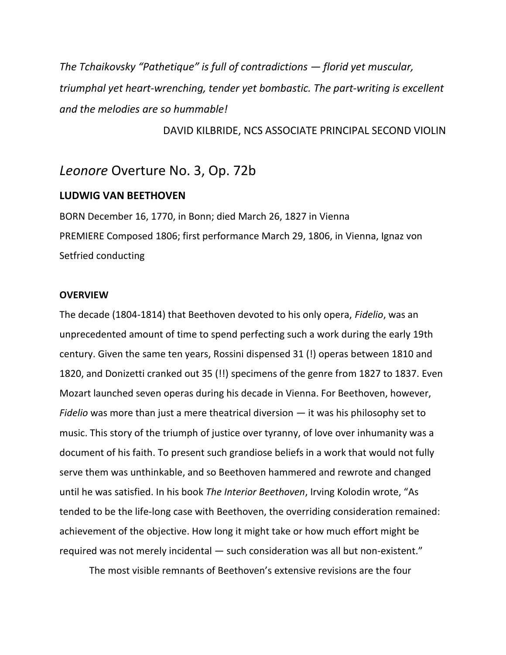*The Tchaikovsky "Pathetique" is full of contradictions — florid yet muscular, triumphal yet heart-wrenching, tender yet bombastic. The part-writing is excellent and the melodies are so hummable!* 

#### DAVID KILBRIDE, NCS ASSOCIATE PRINCIPAL SECOND VIOLIN

## *Leonore* Overture No. 3, Op. 72b

## **LUDWIG VAN BEETHOVEN**

BORN December 16, 1770, in Bonn; died March 26, 1827 in Vienna PREMIERE Composed 1806; first performance March 29, 1806, in Vienna, Ignaz von Setfried conducting

#### **OVERVIEW**

The decade (1804-1814) that Beethoven devoted to his only opera, *Fidelio*, was an unprecedented amount of time to spend perfecting such a work during the early 19th century. Given the same ten years, Rossini dispensed 31 (!) operas between 1810 and 1820, and Donizetti cranked out 35 (!!) specimens of the genre from 1827 to 1837. Even Mozart launched seven operas during his decade in Vienna. For Beethoven, however, *Fidelio* was more than just a mere theatrical diversion — it was his philosophy set to music. This story of the triumph of justice over tyranny, of love over inhumanity was a document of his faith. To present such grandiose beliefs in a work that would not fully serve them was unthinkable, and so Beethoven hammered and rewrote and changed until he was satisfied. In his book *The Interior Beethoven*, Irving Kolodin wrote, "As tended to be the life-long case with Beethoven, the overriding consideration remained: achievement of the objective. How long it might take or how much effort might be required was not merely incidental — such consideration was all but non-existent."

The most visible remnants of Beethoven's extensive revisions are the four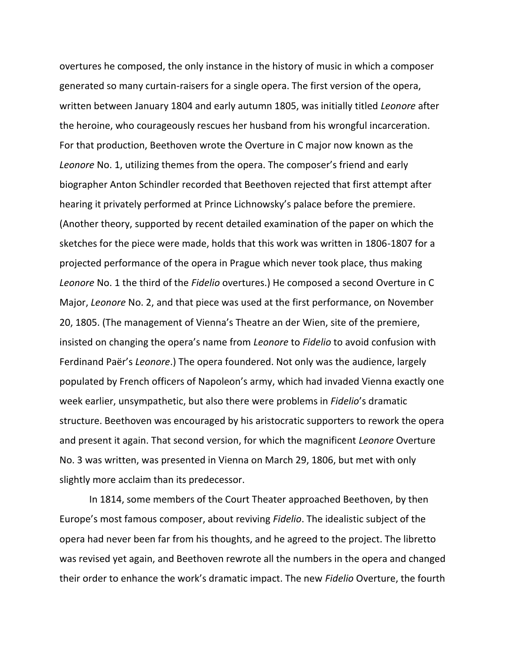overtures he composed, the only instance in the history of music in which a composer generated so many curtain-raisers for a single opera. The first version of the opera, written between January 1804 and early autumn 1805, was initially titled *Leonore* after the heroine, who courageously rescues her husband from his wrongful incarceration. For that production, Beethoven wrote the Overture in C major now known as the *Leonore* No. 1, utilizing themes from the opera. The composer's friend and early biographer Anton Schindler recorded that Beethoven rejected that first attempt after hearing it privately performed at Prince Lichnowsky's palace before the premiere. (Another theory, supported by recent detailed examination of the paper on which the sketches for the piece were made, holds that this work was written in 1806-1807 for a projected performance of the opera in Prague which never took place, thus making *Leonore* No. 1 the third of the *Fidelio* overtures.) He composed a second Overture in C Major, *Leonore* No. 2, and that piece was used at the first performance, on November 20, 1805. (The management of Vienna's Theatre an der Wien, site of the premiere, insisted on changing the opera's name from *Leonore* to *Fidelio* to avoid confusion with Ferdinand Paër's *Leonore*.) The opera foundered. Not only was the audience, largely populated by French officers of Napoleon's army, which had invaded Vienna exactly one week earlier, unsympathetic, but also there were problems in *Fidelio*'s dramatic structure. Beethoven was encouraged by his aristocratic supporters to rework the opera and present it again. That second version, for which the magnificent *Leonore* Overture No. 3 was written, was presented in Vienna on March 29, 1806, but met with only slightly more acclaim than its predecessor.

In 1814, some members of the Court Theater approached Beethoven, by then Europe's most famous composer, about reviving *Fidelio*. The idealistic subject of the opera had never been far from his thoughts, and he agreed to the project. The libretto was revised yet again, and Beethoven rewrote all the numbers in the opera and changed their order to enhance the work's dramatic impact. The new *Fidelio* Overture, the fourth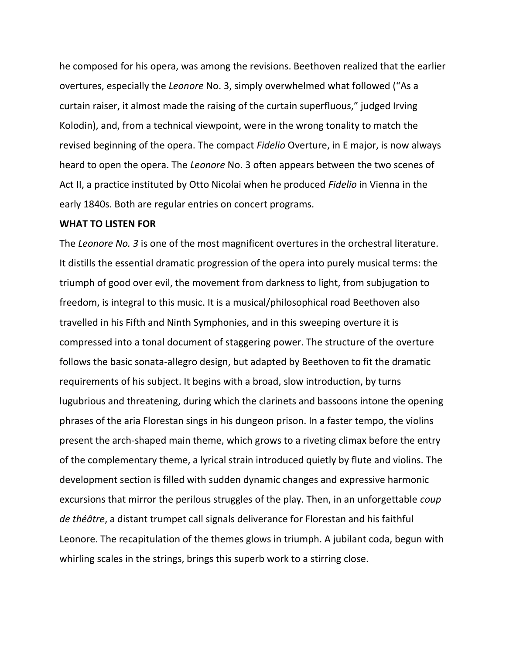he composed for his opera, was among the revisions. Beethoven realized that the earlier overtures, especially the *Leonore* No. 3, simply overwhelmed what followed ("As a curtain raiser, it almost made the raising of the curtain superfluous," judged Irving Kolodin), and, from a technical viewpoint, were in the wrong tonality to match the revised beginning of the opera. The compact *Fidelio* Overture, in E major, is now always heard to open the opera. The *Leonore* No. 3 often appears between the two scenes of Act II, a practice instituted by Otto Nicolai when he produced *Fidelio* in Vienna in the early 1840s. Both are regular entries on concert programs.

#### **WHAT TO LISTEN FOR**

The *Leonore No. 3* is one of the most magnificent overtures in the orchestral literature. It distills the essential dramatic progression of the opera into purely musical terms: the triumph of good over evil, the movement from darkness to light, from subjugation to freedom, is integral to this music. It is a musical/philosophical road Beethoven also travelled in his Fifth and Ninth Symphonies, and in this sweeping overture it is compressed into a tonal document of staggering power. The structure of the overture follows the basic sonata-allegro design, but adapted by Beethoven to fit the dramatic requirements of his subject. It begins with a broad, slow introduction, by turns lugubrious and threatening, during which the clarinets and bassoons intone the opening phrases of the aria Florestan sings in his dungeon prison. In a faster tempo, the violins present the arch-shaped main theme, which grows to a riveting climax before the entry of the complementary theme, a lyrical strain introduced quietly by flute and violins. The development section is filled with sudden dynamic changes and expressive harmonic excursions that mirror the perilous struggles of the play. Then, in an unforgettable *coup de théâtre*, a distant trumpet call signals deliverance for Florestan and his faithful Leonore. The recapitulation of the themes glows in triumph. A jubilant coda, begun with whirling scales in the strings, brings this superb work to a stirring close.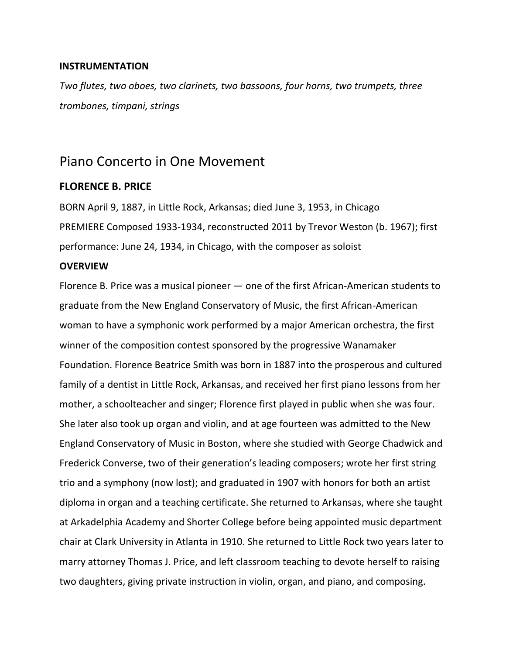## **INSTRUMENTATION**

*Two flutes, two oboes, two clarinets, two bassoons, four horns, two trumpets, three trombones, timpani, strings*

## Piano Concerto in One Movement

## **FLORENCE B. PRICE**

BORN April 9, 1887, in Little Rock, Arkansas; died June 3, 1953, in Chicago PREMIERE Composed 1933-1934, reconstructed 2011 by Trevor Weston (b. 1967); first performance: June 24, 1934, in Chicago, with the composer as soloist

## **OVERVIEW**

Florence B. Price was a musical pioneer — one of the first African-American students to graduate from the New England Conservatory of Music, the first African-American woman to have a symphonic work performed by a major American orchestra, the first winner of the composition contest sponsored by the progressive Wanamaker Foundation. Florence Beatrice Smith was born in 1887 into the prosperous and cultured family of a dentist in Little Rock, Arkansas, and received her first piano lessons from her mother, a schoolteacher and singer; Florence first played in public when she was four. She later also took up organ and violin, and at age fourteen was admitted to the New England Conservatory of Music in Boston, where she studied with George Chadwick and Frederick Converse, two of their generation's leading composers; wrote her first string trio and a symphony (now lost); and graduated in 1907 with honors for both an artist diploma in organ and a teaching certificate. She returned to Arkansas, where she taught at Arkadelphia Academy and Shorter College before being appointed music department chair at Clark University in Atlanta in 1910. She returned to Little Rock two years later to marry attorney Thomas J. Price, and left classroom teaching to devote herself to raising two daughters, giving private instruction in violin, organ, and piano, and composing.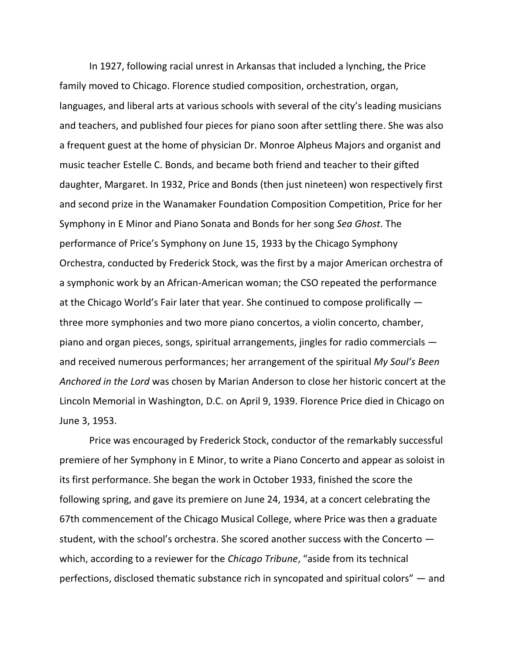In 1927, following racial unrest in Arkansas that included a lynching, the Price family moved to Chicago. Florence studied composition, orchestration, organ, languages, and liberal arts at various schools with several of the city's leading musicians and teachers, and published four pieces for piano soon after settling there. She was also a frequent guest at the home of physician Dr. Monroe Alpheus Majors and organist and music teacher Estelle C. Bonds, and became both friend and teacher to their gifted daughter, Margaret. In 1932, Price and Bonds (then just nineteen) won respectively first and second prize in the Wanamaker Foundation Composition Competition, Price for her Symphony in E Minor and Piano Sonata and Bonds for her song *Sea Ghost*. The performance of Price's Symphony on June 15, 1933 by the Chicago Symphony Orchestra, conducted by Frederick Stock, was the first by a major American orchestra of a symphonic work by an African-American woman; the CSO repeated the performance at the Chicago World's Fair later that year. She continued to compose prolifically three more symphonies and two more piano concertos, a violin concerto, chamber, piano and organ pieces, songs, spiritual arrangements, jingles for radio commercials and received numerous performances; her arrangement of the spiritual *My Soul's Been Anchored in the Lord* was chosen by Marian Anderson to close her historic concert at the Lincoln Memorial in Washington, D.C. on April 9, 1939. Florence Price died in Chicago on June 3, 1953.

Price was encouraged by Frederick Stock, conductor of the remarkably successful premiere of her Symphony in E Minor, to write a Piano Concerto and appear as soloist in its first performance. She began the work in October 1933, finished the score the following spring, and gave its premiere on June 24, 1934, at a concert celebrating the 67th commencement of the Chicago Musical College, where Price was then a graduate student, with the school's orchestra. She scored another success with the Concerto which, according to a reviewer for the *Chicago Tribune*, "aside from its technical perfections, disclosed thematic substance rich in syncopated and spiritual colors" — and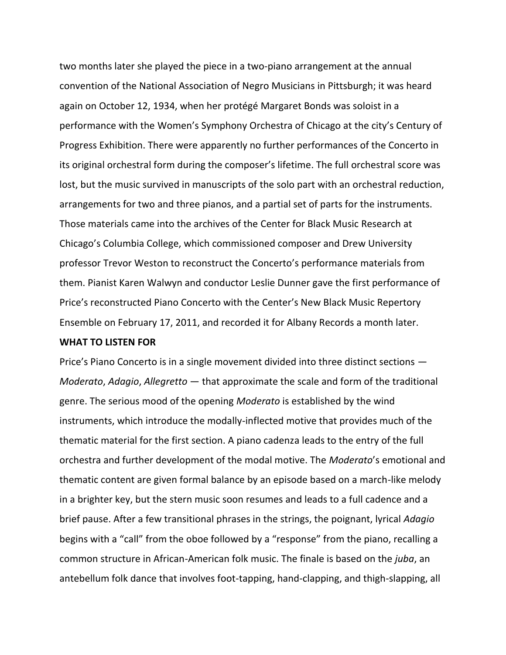two months later she played the piece in a two-piano arrangement at the annual convention of the National Association of Negro Musicians in Pittsburgh; it was heard again on October 12, 1934, when her protégé Margaret Bonds was soloist in a performance with the Women's Symphony Orchestra of Chicago at the city's Century of Progress Exhibition. There were apparently no further performances of the Concerto in its original orchestral form during the composer's lifetime. The full orchestral score was lost, but the music survived in manuscripts of the solo part with an orchestral reduction, arrangements for two and three pianos, and a partial set of parts for the instruments. Those materials came into the archives of the Center for Black Music Research at Chicago's Columbia College, which commissioned composer and Drew University professor Trevor Weston to reconstruct the Concerto's performance materials from them. Pianist Karen Walwyn and conductor Leslie Dunner gave the first performance of Price's reconstructed Piano Concerto with the Center's New Black Music Repertory Ensemble on February 17, 2011, and recorded it for Albany Records a month later.

### **WHAT TO LISTEN FOR**

Price's Piano Concerto is in a single movement divided into three distinct sections — *Moderato*, *Adagio*, *Allegretto* — that approximate the scale and form of the traditional genre. The serious mood of the opening *Moderato* is established by the wind instruments, which introduce the modally-inflected motive that provides much of the thematic material for the first section. A piano cadenza leads to the entry of the full orchestra and further development of the modal motive. The *Moderato*'s emotional and thematic content are given formal balance by an episode based on a march-like melody in a brighter key, but the stern music soon resumes and leads to a full cadence and a brief pause. After a few transitional phrases in the strings, the poignant, lyrical *Adagio* begins with a "call" from the oboe followed by a "response" from the piano, recalling a common structure in African-American folk music. The finale is based on the *juba*, an antebellum folk dance that involves foot-tapping, hand-clapping, and thigh-slapping, all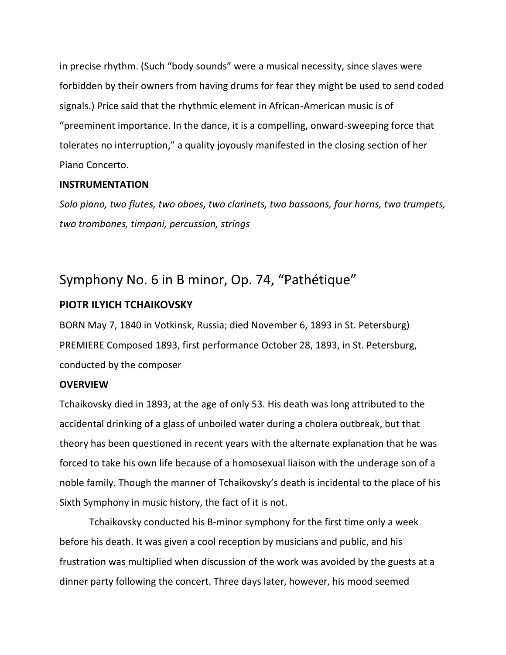in precise rhythm. (Such "body sounds" were a musical necessity, since slaves were forbidden by their owners from having drums for fear they might be used to send coded signals.) Price said that the rhythmic element in African-American music is of "preeminent importance. In the dance, it is a compelling, onward-sweeping force that tolerates no interruption," a quality joyously manifested in the closing section of her Piano Concerto.

## **INSTRUMENTATION**

*Solo piano, two flutes, two oboes, two clarinets, two bassoons, four horns, two trumpets, two trombones, timpani, percussion, strings*

# Symphony No. 6 in B minor, Op. 74, "Pathétique"

## **PIOTR ILYICH TCHAIKOVSKY**

BORN May 7, 1840 in Votkinsk, Russia; died November 6, 1893 in St. Petersburg) PREMIERE Composed 1893, first performance October 28, 1893, in St. Petersburg, conducted by the composer

#### **OVERVIEW**

Tchaikovsky died in 1893, at the age of only 53. His death was long attributed to the accidental drinking of a glass of unboiled water during a cholera outbreak, but that theory has been questioned in recent years with the alternate explanation that he was forced to take his own life because of a homosexual liaison with the underage son of a noble family. Though the manner of Tchaikovsky's death is incidental to the place of his Sixth Symphony in music history, the fact of it is not.

Tchaikovsky conducted his B-minor symphony for the first time only a week before his death. It was given a cool reception by musicians and public, and his frustration was multiplied when discussion of the work was avoided by the guests at a dinner party following the concert. Three days later, however, his mood seemed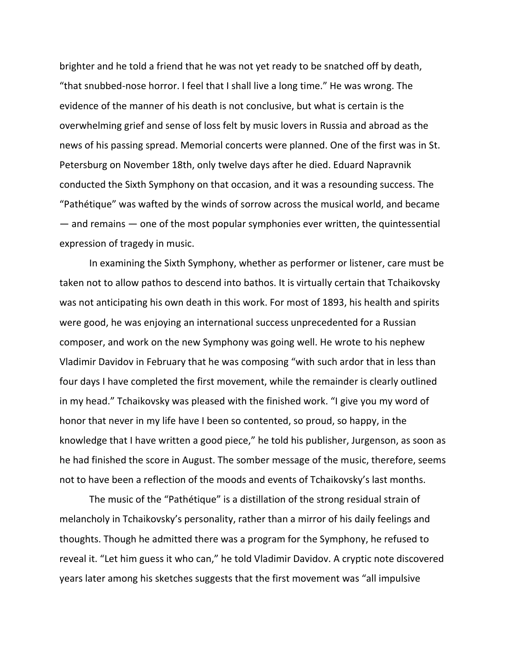brighter and he told a friend that he was not yet ready to be snatched off by death, "that snubbed-nose horror. I feel that I shall live a long time." He was wrong. The evidence of the manner of his death is not conclusive, but what is certain is the overwhelming grief and sense of loss felt by music lovers in Russia and abroad as the news of his passing spread. Memorial concerts were planned. One of the first was in St. Petersburg on November 18th, only twelve days after he died. Eduard Napravnik conducted the Sixth Symphony on that occasion, and it was a resounding success. The "Pathétique" was wafted by the winds of sorrow across the musical world, and became  $-$  and remains  $-$  one of the most popular symphonies ever written, the quintessential expression of tragedy in music.

In examining the Sixth Symphony, whether as performer or listener, care must be taken not to allow pathos to descend into bathos. It is virtually certain that Tchaikovsky was not anticipating his own death in this work. For most of 1893, his health and spirits were good, he was enjoying an international success unprecedented for a Russian composer, and work on the new Symphony was going well. He wrote to his nephew Vladimir Davidov in February that he was composing "with such ardor that in less than four days I have completed the first movement, while the remainder is clearly outlined in my head." Tchaikovsky was pleased with the finished work. "I give you my word of honor that never in my life have I been so contented, so proud, so happy, in the knowledge that I have written a good piece," he told his publisher, Jurgenson, as soon as he had finished the score in August. The somber message of the music, therefore, seems not to have been a reflection of the moods and events of Tchaikovsky's last months.

The music of the "Pathétique" is a distillation of the strong residual strain of melancholy in Tchaikovsky's personality, rather than a mirror of his daily feelings and thoughts. Though he admitted there was a program for the Symphony, he refused to reveal it. "Let him guess it who can," he told Vladimir Davidov. A cryptic note discovered years later among his sketches suggests that the first movement was "all impulsive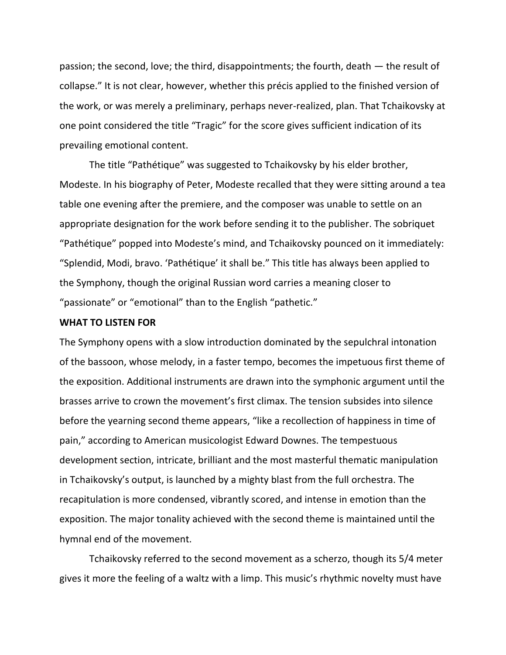passion; the second, love; the third, disappointments; the fourth, death — the result of collapse." It is not clear, however, whether this précis applied to the finished version of the work, or was merely a preliminary, perhaps never-realized, plan. That Tchaikovsky at one point considered the title "Tragic" for the score gives sufficient indication of its prevailing emotional content.

The title "Pathétique" was suggested to Tchaikovsky by his elder brother, Modeste. In his biography of Peter, Modeste recalled that they were sitting around a tea table one evening after the premiere, and the composer was unable to settle on an appropriate designation for the work before sending it to the publisher. The sobriquet "Pathétique" popped into Modeste's mind, and Tchaikovsky pounced on it immediately: "Splendid, Modi, bravo. 'Pathétique' it shall be." This title has always been applied to the Symphony, though the original Russian word carries a meaning closer to "passionate" or "emotional" than to the English "pathetic."

#### **WHAT TO LISTEN FOR**

The Symphony opens with a slow introduction dominated by the sepulchral intonation of the bassoon, whose melody, in a faster tempo, becomes the impetuous first theme of the exposition. Additional instruments are drawn into the symphonic argument until the brasses arrive to crown the movement's first climax. The tension subsides into silence before the yearning second theme appears, "like a recollection of happiness in time of pain," according to American musicologist Edward Downes. The tempestuous development section, intricate, brilliant and the most masterful thematic manipulation in Tchaikovsky's output, is launched by a mighty blast from the full orchestra. The recapitulation is more condensed, vibrantly scored, and intense in emotion than the exposition. The major tonality achieved with the second theme is maintained until the hymnal end of the movement.

Tchaikovsky referred to the second movement as a scherzo, though its 5/4 meter gives it more the feeling of a waltz with a limp. This music's rhythmic novelty must have